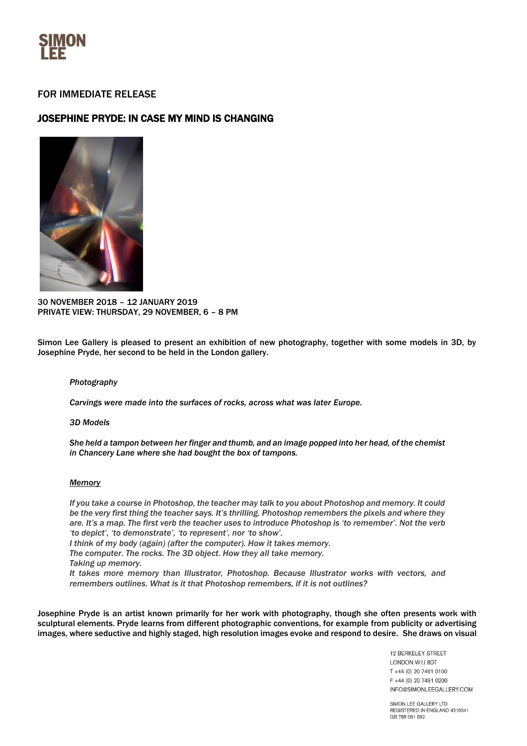

## FOR IMMEDIATE RELEASE

# JOSEPHINE PRYDE: IN CASE MY MIND IS CHANGING



30 NOVEMBER 2018 – 12 JANUARY 2019 PRIVATE VIEW: THURSDAY, 29 NOVEMBER, 6 – 8 PM

Simon Lee Gallery is pleased to present an exhibition of new photography, together with some models in 3D, by Josephine Pryde, her second to be held in the London gallery.

#### *Photography*

*Carvings were made into the surfaces of rocks, across what was later Europe.* 

#### *3D Models*

*She held a tampon between her finger and thumb, and an image popped into her head, of the chemist in Chancery Lane where she had bought the box of tampons.*

#### *Memory*

*If you take a course in Photoshop, the teacher may talk to you about Photoshop and memory. It could be the very first thing the teacher says. It's thrilling. Photoshop remembers the pixels and where they are. It's a map. The first verb the teacher uses to introduce Photoshop is 'to remember'. Not the verb 'to depict', 'to demonstrate', 'to represent', nor 'to show'.* 

*I think of my body (again) (after the computer). How it takes memory.*

*The computer. The rocks. The 3D object. How they all take memory.*

*Taking up memory.* 

*It takes more memory than Illustrator, Photoshop. Because Illustrator works with vectors, and remembers outlines. What is it that Photoshop remembers, if it is not outlines?*

Josephine Pryde is an artist known primarily for her work with photography, though she often presents work with sculptural elements. Pryde learns from different photographic conventions, for example from publicity or advertising images, where seductive and highly staged, high resolution images evoke and respond to desire. She draws on visual

> 12 BERKELEY STREET LONDON W1J 8DT T +44 (0) 20 7491 0100 F +44 (0) 20 7491 0200 INFO@SIMONLEEGALLERY.COM

SIMON LEE GALLERY LTD REGISTERED IN ENGLAND 4316341 GB 788 061 692